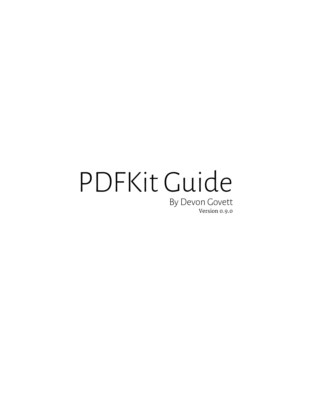# PDFKit Guide By Devon Govett Version 0.9.0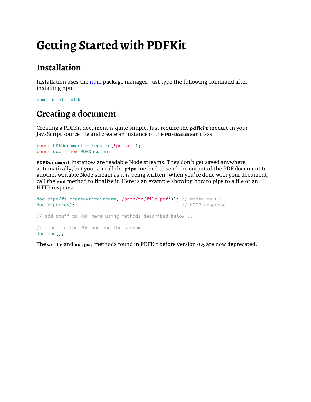## **[Getting Started with PDFKit](false)**

### **[Installation](false)**

[Installation uses the](false) [npm](http://npmjs.org/) [package manager. Just type the following command after](false)  [installing npm.](false)

[npm](false) [install](false) [pdfkit](false)

### **[Creating a document](false)**

[Creating a PDFKit document is quite simple. Just require the](false) **[pdfkit](false)** [module in your](false)  [JavaScript source file and create an instance of the](false) **[PDFDocument](false)** [class.](false)

```
const PDFDocument = require('pdfkit');
const doc = new PDFDocument;
```
**[PDFDocument](false)** [instances are readable Node streams. They don](false)'t get saved anywhere [automatically, but you can call the](false) **[pipe](false)** [method to send the output of the PDF document to](false)  [another writable Node stream as it is being written. When you](false)'re done with your document, [call the](false) **[end](false)** [method to finalize it. Here is an example showing how to pipe to a file or an](false)  [HTTP response.](false)

```
doc.pipe(fs.createWriteStream('/path/to/file.pdf')); // write to PDF
doc.pipe(res); // HTTP response
// add stuff to PDF here using methods described below...
// finalize the PDF and end the stream
doc.end();
```
[The](false) **[write](false)** [and](false) **[output](false)** [methods found in PDFKit before version 0.5 are now deprecated.](false)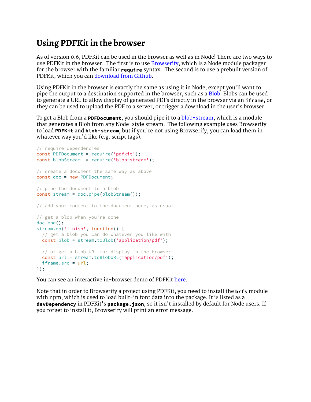#### **[Using PDFKit in the browser](false)**

[As of version 0.6, PDFKit can be used in the browser as well as in Node! There are two ways to](false)  [use PDFKit in the browser. The first is to use](false) **[Browserify](http://browserify.org/)**, which is a Node module packager [for the browser with the familiar](false) **[require](false)** [syntax. The second is to use a prebuilt version of](false)  [PDFKit, which you can](false) [download from Github](https://github.com/devongovett/pdfkit/releases)[.](false)

[Using PDFKit in the browser is exactly the same as using it in Node, except you](false)'ll want to [pipe the output to a destination supported in the browser, such as a](false) [Blob](https://developer.mozilla.org/en-US/docs/Web/API/Blob)[. Blobs can be used](false)  [to generate a URL to allow display of generated PDFs directly in the browser via an](false) **[iframe](false)**[, or](false)  [they can be used to upload the PDF to a server, or trigger a download in the user](false)'s browser.

[To get a Blob from a](false) **[PDFDocument](false)**[, you should pipe it to a](false) [blob-stream](https://github.com/devongovett/blob-stream)[, which is a module](false)  [that generates a Blob from any Node-style stream. The following example uses Browserify](false)  [to load](false) **[PDFKit](false)** [and](false) **[blob-stream](false)**, but if you['re not using Browserify, you can load them in](false)  whatever way you['d like \(e.g. script tags\).](false)

```
// require dependencies
const PDFDocument = require('pdfkit');
const blobStream = require('blob-stream');
// create a document the same way as above
const doc = new PDFDocument;
// pipe the document to a blob
const stream = doc.pipe(blobStream());
// add your content to the document here, as usual
// get a blob when you're done
doc.end();
stream.on('finish', function() {
  // get a blob you can do whatever you like with
  const blob = stream.toBlob('application/pdf');
  // or get a blob URL for display in the browser
  const url = stream.toBlobURL('application/pdf');
  iframe.src = url;
});
```
[You can see an interactive in-browser demo of PDFKit](false) [here](http://pdfkit.org/demo/browser.html)[.](false)

[Note that in order to Browserify a project using PDFKit, you need to install the](false) **[brfs](false)** [module](false)  [with npm, which is used to load built-in font data into the package. It is listed as a](false)  **[devDependency](false)** [in PDFKit](false)'s **[package.json](false)**, so it isn['t installed by default for Node users. If](false)  [you forget to install it, Browserify will print an error message.](false)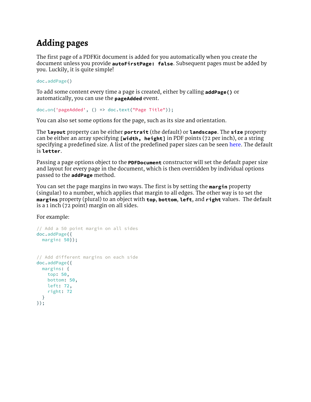### **[Adding pages](false)**

[The first page of a PDFKit document is added for you automatically when you create the](false)  [document unless you provide](false) **[autoFirstPage: false](false)**[. Subsequent pages must be added by](false)  [you. Luckily, it is quite simple!](false)

[doc.addPage\(\)](false)

[To add some content every time a page is created, either by calling](false) **[addPage\(\)](false)** [or](false)  [automatically, you can use the](false) **[pageAdded](false)** [event.](false)

```
doc.on('pageAdded', () => doc.text("Page Title"));
```
[You can also set some options for the page, such as its size and orientation.](false)

[The](false) **[layout](false)** [property can be either](false) **[portrait](false)** [\(the default\) or](false) **[landscape](false)**[. The](false) **[size](false)** [property](false)  [can be either an array specifying](false) **[\[width, height\]](false)** [in PDF points \(72 per inch\), or a string](false)  [specifying a predefined size. A list of the predefined paper sizes can be seen](false) [here](https://github.com/devongovett/pdfkit/blob/b13423bf0a391ed1c33a2e277bc06c00cabd6bf9/lib/page.coffee#L72-L122)[. The default](false)  [is](false) **[letter](false)**[.](false)

[Passing a page options object to the](false) **[PDFDocument](false)** [constructor will set the default paper size](false)  [and layout for every page in the document, which is then overridden by individual options](false)  [passed to the](false) **[addPage](false)** [method.](false)

[You can set the page margins in two ways. The first is by setting the](false) **[margin](false)** [property](false)  [\(singular\) to a number, which applies that margin to all edges. The other way is to set the](false)  **[margins](false)** [property \(plural\) to an object with](false) **[top](false)**[,](false) **[bottom](false)**[,](false) **[left](false)**[, and](false) **[right](false)** [values. The default](false)  [is a 1 inch \(72 point\) margin on all sides.](false)

[For example:](false)

```
// Add a 50 point margin on all sides
doc.addPage({
  margin: 50});
// Add different margins on each side
doc.addPage({
  margins: {
   top: 50,
   bottom: 50,
    left: 72,
    right: 72
   }
});
```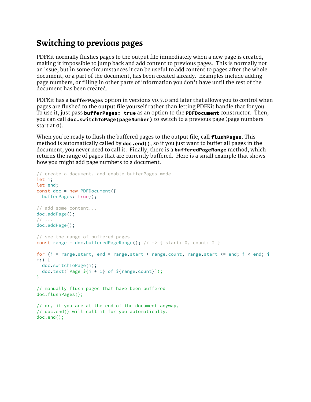### **[Switching to previous pages](false)**

[PDFKit normally flushes pages to the output file immediately when a new page is created,](false)  [making it impossible to jump back and add content to previous pages. This is normally not](false)  [an issue, but in some circumstances it can be useful to add content to pages after the whole](false)  [document, or a part of the document, has been created already. Examples include adding](false)  [page numbers, or filling in other parts of information you don](false)'t have until the rest of the [document has been created.](false)

[PDFKit has a](false) **[bufferPages](false)** [option in versions v0.7.0 and later that allows you to control when](false)  [pages are flushed to the output file yourself rather than letting PDFKit handle that for you.](false)  [To use it, just pass](false) **[bufferPages: true](false)** [as an option to the](false) **[PDFDocument](false)** [constructor. Then,](false)  [you can call](false) **[doc.switchToPage\(pageNumber\)](false)** [to switch to a previous page \(page numbers](false)  [start at 0\).](false)

When you['re ready to flush the buffered pages to the output file, call](false) **[flushPages](false)**[. This](false)  [method is automatically called by](false) **[doc.end\(\)](false)**[, so if you just want to buffer all pages in the](false)  [document, you never need to call it. Finally, there is a](false) **[bufferedPageRange](false)** [method, which](false)  [returns the range of pages that are currently buffered. Here is a small example that shows](false)  [how you might add page numbers to a document.](false)

```
// create a document, and enable bufferPages mode
let i;
let end;
const doc = new PDFDocument({
 bufferPages: true});
// add some content...
doc.addPage();
// ...
doc.addPage();
// see the range of buffered pages
constrange=doc.bufferedPageRange(); // => { start: 0, count: 2 }
for(i=range.start,endrange.start+range.count,<=end;i<i+
+;) {
  doc.switchToPage(i);
  doc.text(`Page ${i + 1} of ${range.count}`);
}
// manually flush pages that have been buffered
doc.flushPages();
// or, if you are at the end of the document anyway,
// doc.end() will call it for you automatically.
doc.end();
```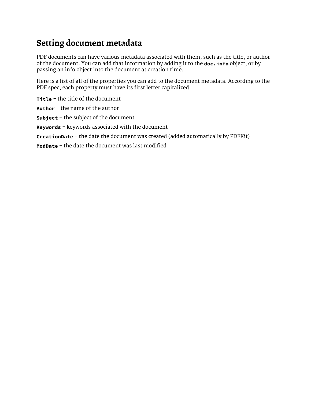### **[Setting document metadata](false)**

[PDF documents can have various metadata associated with them, such as the title, or author](false)  [of the document. You can add that information by adding it to the](false) **[doc.info](false)** [object, or by](false)  [passing an info object into the document at creation time.](false)

[Here is a list of all of the properties you can add to the document metadata. According to the](false)  [PDF spec, each property must have its first letter capitalized.](false)

**[Title](false)** [- the title of the document](false) **[Author](false)** [- the name of the author](false) **[Subject](false)** [- the subject of the document](false) **[Keywords](false)** [- keywords associated with the document](false)

**[CreationDate](false)** [- the date the document was created \(added automatically by PDFKit\)](false)

**[ModDate](false)** [- the date the document was last modified](false)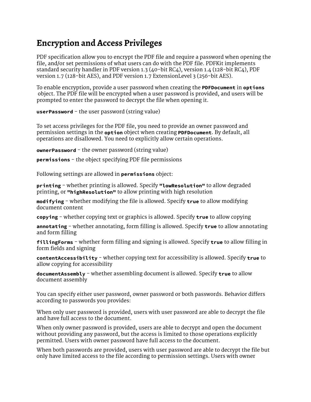### **[Encryption and Access Privileges](false)**

[PDF specification allow you to encrypt the PDF file and require a password when opening the](false)  [file, and/or set permissions of what users can do with the PDF file. PDFKit implements](false)  [standard security handler in PDF version 1.3 \(40-bit RC4\), version 1.4 \(128-bit RC4\), PDF](false)  [version 1.7 \(128-bit AES\), and PDF version 1.7 ExtensionLevel 3 \(256-bit AES\).](false)

[To enable encryption, provide a user password when creating the](false) **[PDFDocument](false)** [in](false) **[options](false)**  [object. The PDF file will be encrypted when a user password is provided, and users will be](false)  [prompted to enter the password to decrypt the file when opening it.](false)

**[userPassword](false)** [- the user password \(string value\)](false)

[To set access privileges for the PDF file, you need to provide an owner password and](false)  [permission settings in the](false) **[option](false)** [object when creating](false) **[PDFDocument](false)**[. By default, all](false)  [operations are disallowed. You need to explicitly allow certain operations.](false)

**[ownerPassword](false)** [- the owner password \(string value\)](false)

**[permissions](false)** [- the object specifying PDF file permissions](false)

[Following settings are allowed in](false) **[permissions](false)** [object:](false)

**[printing](false)** [- whether printing is allowed. Specify](false) **["lowResolution"](false)** [to allow degraded](false)  [printing, or](false) **["highResolution"](false)** [to allow printing with high resolution](false)

**[modifying](false)** [- whether modifying the file is allowed. Specify](false) **[true](false)** [to allow modifying](false)  [document content](false)

**[copying](false)** [- whether copying text or graphics is allowed. Specify](false) **[true](false)** [to allow copying](false)

**[annotating](false)** [- whether annotating, form filling is allowed. Specify](false) **[true](false)** [to allow annotating](false)  [and form filling](false)

**[fillingForms](false)** [- whether form filling and signing is allowed. Specify](false) **[true](false)** [to allow filling in](false)  [form fields and signing](false)

**[contentAccessibility](false)** [- whether copying text for accessibility is allowed. Specify](false) **[true](false)** [to](false)  [allow copying for accessibility](false)

**[documentAssembly](false)** [- whether assembling document is allowed. Specify](false) **[true](false)** [to allow](false)  [document assembly](false)

[You can specify either user password, owner password or both passwords. Behavior differs](false)  [according to passwords you provides:](false)

[When only user password is provided, users with user password are able to decrypt the file](false)  [and have full access to the document.](false)

[When only owner password is provided, users are able to decrypt and open the document](false)  [without providing any password, but the access is limited to those operations explicitly](false)  [permitted. Users with owner password have full access to the document.](false)

[When both passwords are provided, users with user password are able to decrypt the file but](false)  [only have limited access to the file according to permission settings. Users with owner](false)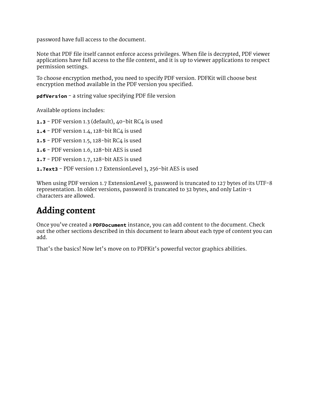[password have full access to the document.](false)

[Note that PDF file itself cannot enforce access privileges. When file is decrypted, PDF viewer](false)  [applications have full access to the file content, and it is up to viewer applications to respect](false)  [permission settings.](false)

[To choose encryption method, you need to specify PDF version. PDFKit will choose best](false)  [encryption method available in the PDF version you specified.](false)

**[pdfVersion](false)** [- a string value specifying PDF file version](false)

[Available options includes:](false)

**[1.3](false)** [- PDF version 1.3 \(default\), 40-bit RC4 is used](false)

**[1.4](false)** [- PDF version 1.4, 128-bit RC4 is used](false)

**[1.5](false)** [- PDF version 1.5, 128-bit RC4 is used](false)

**[1.6](false)** [- PDF version 1.6, 128-bit AES is used](false)

**[1.7](false)** [- PDF version 1.7, 128-bit AES is used](false)

**[1.7ext3](false)** [- PDF version 1.7 ExtensionLevel 3, 256-bit AES is used](false)

[When using PDF version 1.7 ExtensionLevel 3, password is truncated to 127 bytes of its UTF-8](false)  [representation. In older versions, password is truncated to 32 bytes, and only Latin-1](false)  [characters are allowed.](false)

#### **[Adding content](false)**

Once you['ve created a](false) **[PDFDocument](false)** [instance, you can add content to the document. Check](false)  [out the other sections described in this document to learn about each type of content you can](false)  [add.](false)

That['s the basics! Now let's move on to PDFKit's powerful vector graphics abilities.](false)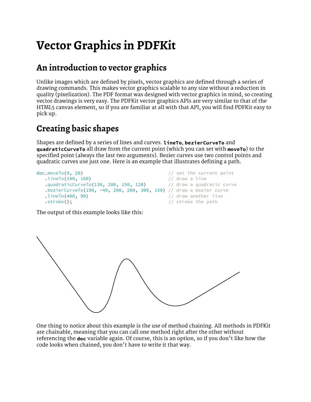### **[Vector Graphics in PDFKit](false)**

### **[An introduction to vector graphics](false)**

[Unlike images which are defined by pixels, vector graphics are defined through a series of](false)  [drawing commands. This makes vector graphics scalable to any size without a reduction in](false)  [quality \(pixelization\). The PDF format was designed with vector graphics in mind, so creating](false)  [vector drawings is very easy. The PDFKit vector graphics APIs are very similar to that of the](false)  [HTML5 canvas element, so if you are familiar at all with that API, you will find PDFKit easy to](false)  [pick up.](false)

### **[Creating basic shapes](false)**

[Shapes are defined by a series of lines and curves.](false) **[lineTo](false)**[,](false) **[bezierCurveTo](false)** [and](false)  **[quadraticCurveTo](false)** [all draw from the current point \(which you can set with](false) **[moveTo](false)**[\) to the](false)  [specified point \(always the last two arguments\). Bezier curves use two control points and](false)  [quadratic curves use just one. Here is an example that illustrates defining a path.](false)

```
doc.moveTo(0, 20) // set the current point
  .lineTo(100, 160)<br>.quadraticCurveTo(130, 200, 150, 120) // draw a quadratic curve
  .quadraticCurveTo(200,150, 120)
   .bezierCurveTo(190, -40, 200, 200, 300, 150) // draw a bezier curve
   .lineTo(400, 90) // draw another line
  .stroke(); \sqrt{2} // stroke the path
```
[The output of this example looks like this:](false)



[One thing to notice about this example is the use of method chaining. All methods in PDFKit](false)  [are chainable, meaning that you can call one method right after the other without](false)  [referencing the](false) **[doc](false)** [variable again. Of course, this is an option, so if you don](false)'t like how the [code looks when chained, you don](false)'t have to write it that way.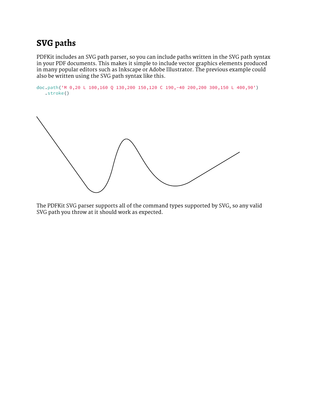### **[SVG paths](false)**

[PDFKit includes an SVG path parser, so you can include paths written in the SVG path syntax](false)  [in your PDF documents. This makes it simple to include vector graphics elements produced](false)  [in many popular editors such as Inkscape or Adobe Illustrator. The previous example could](false)  [also be written using the SVG path syntax like this.](false)

```
doc.path('M 0,20 L 100,160 Q 130,200 150,120 C 190,-40 200,200 300,150 L 400,90')
    .stroke()
```
[The PDFKit SVG parser supports all of the command types supported by SVG, so any valid](false)  [SVG path you throw at it should work as expected.](false)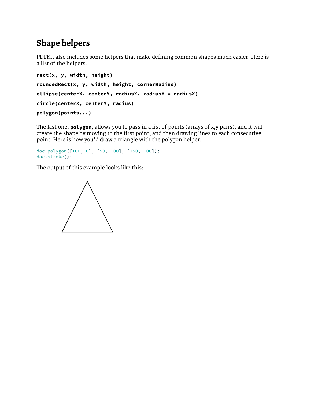### **[Shape helpers](false)**

[PDFKit also includes some helpers that make defining common shapes much easier. Here is](false)  [a list of the helpers.](false)

```
rect(x, y, width, height)
roundedRect(x, y, width, height, cornerRadius)
ellipse(centerX, centerY, radiusX, radiusY = radiusX)
circle(centerX, centerY, radius)
polygon(points...)
```
[The last one,](false) **[polygon](false)**[, allows you to pass in a list of points \(arrays of x,y pairs\), and it will](false)  [create the shape by moving to the first point, and then drawing lines to each consecutive](false)  point. Here is how you['d draw a triangle with the polygon helper.](false)

```
doc.polygon([100, 0], [50, 100], [150, 100]);
doc.stroke();
```
[The output of this example looks like this:](false)

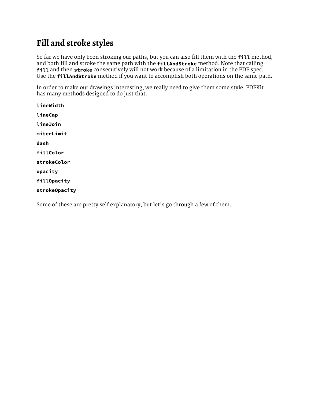### **[Fill and stroke styles](false)**

[So far we have only been stroking our paths, but you can also fill them with the](false) **[fill](false)** [method,](false)  [and both fill and stroke the same path with the](false) **[fillAndStroke](false)** [method. Note that calling](false)  **[fill](false)** [and then](false) **[stroke](false)** [consecutively will not work because of a limitation in the PDF spec.](false)  [Use the](false) **[fillAndStroke](false)** [method if you want to accomplish both operations on the same path.](false)

[In order to make our drawings interesting, we really need to give them some style. PDFKit](false)  [has many methods designed to do just that.](false)

**[lineWidth](false) [lineCap](false) [lineJoin](false) [miterLimit](false) [dash](false) [fillColor](false) [strokeColor](false) [opacity](false) [fillOpacity](false) [strokeOpacity](false)**

[Some of these are pretty self explanatory, but let](false)'s go through a few of them.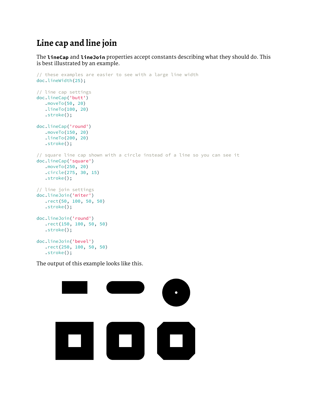### **[Line cap and line join](false)**

[The](false) **[lineCap](false)** [and](false) **[lineJoin](false)** [properties accept constants describing what they should do. This](false)  [is best illustrated by an example.](false)

```
// these examples are easier to see with a large line width
doc.lineWidth(25);
// line cap settings
doc.lineCap('butt')
    .moveTo(50, 20)
    .lineTo(100, 20)
    .stroke();
doc.lineCap('round')
    .moveTo(150, 20)
    .lineTo(200, 20)
    .stroke();
// square line cap shown with a circle instead of a line so you can see it
doc.lineCap('square')
    .moveTo(250, 20)
    .circle(275, 30, 15)
    .stroke();
// line join settings
doc.lineJoin('miter')
    .rect(50, 100, 50, 50)
    .stroke();
doc.lineJoin('round')
    .rect(150, 100, 50, 50)
    .stroke();
doc.lineJoin('bevel')
    .rect(250, 100, 50, 50)
    .stroke();
```
[The output of this example looks like this.](false)

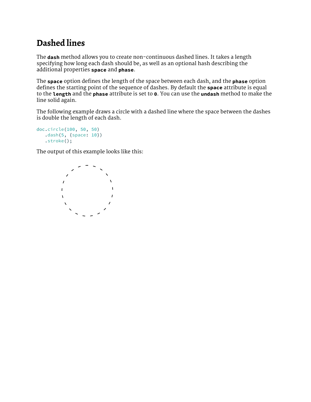### **[Dashed lines](false)**

[The](false) **[dash](false)** [method allows you to create non-continuous dashed lines. It takes a length](false)  [specifying how long each dash should be, as well as an optional hash describing the](false)  [additional properties](false) **[space](false)** [and](false) **[phase](false)**[.](false)

[The](false) **[space](false)** [option defines the length of the space between each dash, and the](false) **[phase](false)** [option](false)  [defines the starting point of the sequence of dashes. By default the](false) **[space](false)** [attribute is equal](false)  [to the](false) **[length](false)** [and the](false) **[phase](false)** [attribute is set to](false) **[0](false)**[. You can use the](false) **[undash](false)** [method to make the](false)  [line solid again.](false)

[The following example draws a circle with a dashed line where the space between the dashes](false)  [is double the length of each dash.](false)

```
doc.circle(100, 50, 50)
    .dash(5, {space: 10})
    .stroke();
```
[The output of this example looks like this:](false)

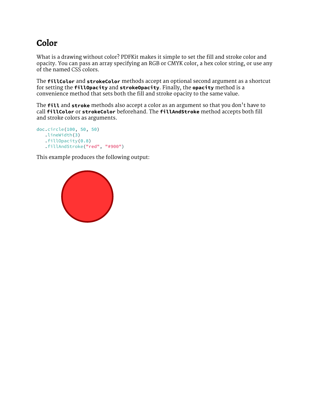### **[Color](false)**

[What is a drawing without color? PDFKit makes it simple to set the fill and stroke color and](false)  [opacity. You can pass an array specifying an RGB or CMYK color, a hex color string, or use any](false)  [of the named CSS colors.](false)

[The](false) **[fillColor](false)** [and](false) **[strokeColor](false)** [methods accept an optional second argument as a shortcut](false)  [for setting the](false) **[fillOpacity](false)** [and](false) **[strokeOpacity](false)**[. Finally, the](false) **[opacity](false)** [method is a](false)  [convenience method that sets both the fill and stroke opacity to the same value.](false)

[The](false) **[fill](false)** [and](false) **[stroke](false)** [methods also accept a color as an argument so that you don](false)'t have to [call](false) **[fillColor](false)** [or](false) **[strokeColor](false)** [beforehand. The](false) **[fillAndStroke](false)** [method accepts both fill](false)  [and stroke colors as arguments.](false)

```
doc.circle(100, 50, 50)
    .lineWidth(3)
    .fillOpacity(0.8)
    .fillAndStroke("red", "#900")
```
[This example produces the following output:](false)

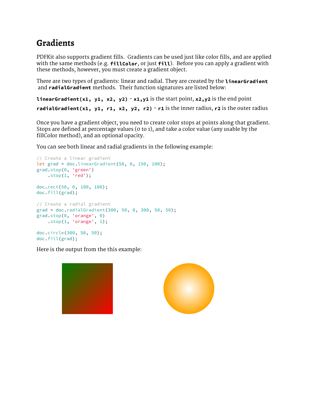### **[Gradients](false)**

[PDFKit also supports gradient fills. Gradients can be used just like color fills, and are applied](false)  [with the same methods \(e.g.](false) **[fillColor](false)**[, or just](false) **[fill](false)**[\). Before you can apply a gradient with](false)  [these methods, however, you must create a gradient object.](false)

[There are two types of gradients: linear and radial. They are created by the](false) **[linearGradient](false)**  [and](false) **[radialGradient](false)** [methods. Their function signatures are listed below:](false)

**[linearGradient\(x1, y1, x2, y2\)](false)** [-](false) **[x1,y1](false)** [is the start point,](false) **[x2,y2](false)** [is the end point](false) **[radialGradient\(x1, y1, r1, x2, y2, r2\)](false)** [-](false) **[r1](false)** [is the inner radius,](false) **[r2](false)** [is the outer radius](false)

[Once you have a gradient object, you need to create color stops at points along that gradient.](false)  [Stops are defined at percentage values \(0 to 1\), and take a color value \(any usable by the](false)  [fillColor method\), and an optional opacity.](false)

[You can see both linear and radial gradients in the following example:](false)

```
// Create a linear gradient
let grad = doc.linearGradient(50, 0, 150, 100);
grad.stop(0, 'green')
   'red');doc.rect(50, 0, 100, 100);
doc.fill(grad);
// Create a radial gradient
grad = doc.radialGradient(300, 50, 0, 300, 50, 50);
grad.stop(0, 'orange', 0)
   'orange',1);doc.circle(300, 50, 50);
doc.fill(grad);
```
[Here is the output from the this example:](false)

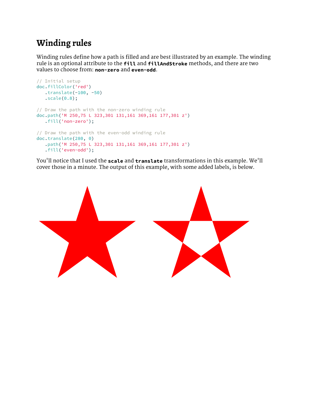### **[Winding rules](false)**

[Winding rules define how a path is filled and are best illustrated by an example. The winding](false)  [rule is an optional attribute to the](false) **[fill](false)** [and](false) **[fillAndStroke](false)** [methods, and there are two](false)  [values to choose from:](false) **[non-zero](false)** [and](false) **[even-odd](false)**[.](false)

```
// Initial setup
doc.fillColor('red')
   .translate(-100, -50)
   .scale(0.8);// Draw the path with the non-zero winding rule
doc.path('M 250,75 L 323,301 131,161 369,161 177,301 z')
    .fill('non-zero');
// Draw the path with the even-odd winding rule
doc.translate(280, 0)
    .path('M 250,75 L 323,301 131,161 369,161 177,301 z')
    .fill('even-odd');
```
You['ll notice that I used the](false) **[scale](false)** [and](false) **[translate](false)** [transformations in this example. We](false)'ll [cover those in a minute. The output of this example, with some added labels, is below.](false)

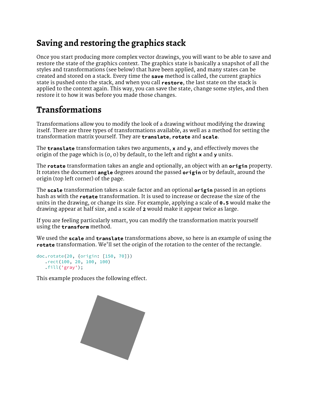### **[Saving and restoring the graphics stack](false)**

[Once you start producing more complex vector drawings, you will want to be able to save and](false)  [restore the state of the graphics context. The graphics state is basically a snapshot of all the](false)  [styles and transformations \(see below\) that have been applied, and many states can be](false)  [created and stored on a stack. Every time the](false) **[save](false)** [method is called, the current graphics](false)  [state is pushed onto the stack, and when you call](false) **[restore](false)**[, the last state on the stack is](false)  [applied to the context again. This way, you can save the state, change some styles, and then](false)  [restore it to how it was before you made those changes.](false)

### **[Transformations](false)**

[Transformations allow you to modify the look of a drawing without modifying the drawing](false)  [itself. There are three types of transformations available, as well as a method for setting the](false)  [transformation matrix yourself. They are](false) **[translate](false)**[,](false) **[rotate](false)** [and](false) **[scale](false)**[.](false)

[The](false) **[translate](false)** [transformation takes two arguments,](false) **[x](false)** [and](false) **[y](false)**[, and effectively moves the](false)  [origin of the page which is \(0, 0\) by default, to the left and right](false) **[x](false)** [and](false) **[y](false)** [units.](false)

[The](false) **[rotate](false)** [transformation takes an angle and optionally, an object with an](false) **[origin](false)** [property.](false)  [It rotates the document](false) **[angle](false)** [degrees around the passed](false) **[origin](false)** [or by default, around the](false)  [origin \(top left corner\) of the page.](false)

[The](false) **[scale](false)** [transformation takes a scale factor and an optional](false) **[origin](false)** [passed in an options](false)  [hash as with the](false) **[rotate](false)** [transformation. It is used to increase or decrease the size of the](false)  [units in the drawing, or change its size. For example, applying a scale of](false) **[0.5](false)** [would make the](false)  [drawing appear at half size, and a scale of](false) **[2](false)** [would make it appear twice as large.](false)

[If you are feeling particularly smart, you can modify the transformation matrix yourself](false)  [using the](false) **[transform](false)** [method.](false)

[We used the](false) **[scale](false)** [and](false) **[translate](false)** [transformations above, so here is an example of using the](false)  **[rotate](false)** transformation. We['ll set the origin of the rotation to the center of the rectangle.](false)

```
doc.rotate(20, {origin: [150, 70]})
    .rect(100, 20, 100, 100)
    .fill('gray');
```
[This example produces the following effect.](false)

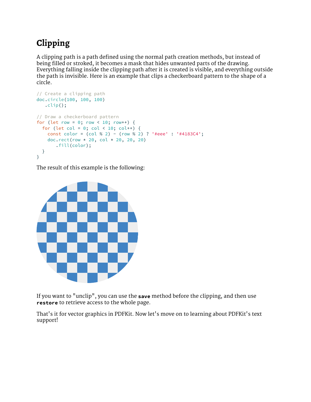### **[Clipping](false)**

[A clipping path is a path defined using the normal path creation methods, but instead of](false)  [being filled or stroked, it becomes a mask that hides unwanted parts of the drawing.](false)  [Everything falling inside the clipping path after it is created is visible, and everything outside](false)  [the path is invisible. Here is an example that clips a checkerboard pattern to the shape of a](false)  [circle.](false)

```
// Create a clipping path
doc.circle(100, 100, 100)
  .clip();
// Draw a checkerboard pattern
for(letrow= 00;row++){
 (let col= 0; < 10; col++){
    const color = (col % 2) - (row % 2) ? '#eee' : '#4183C4';
   doc.rect(row * 20col * 2020,20)
       .fill(color);
  }
}
```
[The result of this example is the following:](false)



[If you want to "unclip", you can use the](false) **[save](false)** [method before the clipping, and then use](false)  **[restore](false)** [to retrieve access to the whole page.](false)

That['s it for vector graphics in PDFKit. Now let's move on to learning about PDFKit's text](false)  [support!](false)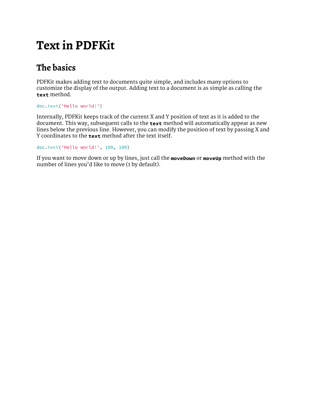### **[Text in PDFKit](false)**

### **[The basics](false)**

[PDFKit makes adding text to documents quite simple, and includes many options to](false)  [customize the display of the output. Adding text to a document is as simple as calling the](false)  **[text](false)** [method.](false)

```
doc.text('Hello world!')
```
[Internally, PDFKit keeps track of the current X and Y position of text as it is added to the](false)  [document. This way, subsequent calls to the](false) **[text](false)** [method will automatically appear as new](false)  [lines below the previous line. However, you can modify the position of text by passing X and](false)  [Y coordinates to the](false) **[text](false)** [method after the text itself.](false)

```
doc.text('Hello world!', 100, 100)
```
[If you want to move down or up by lines, just call the](false) **[moveDown](false)** [or](false) **[moveUp](false)** [method with the](false)  number of lines you['d like to move \(1 by default\).](false)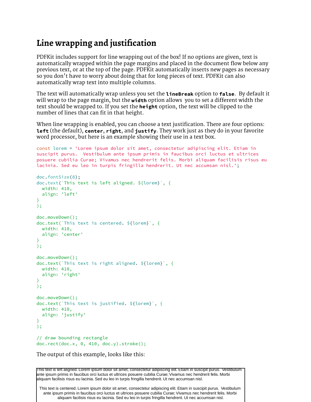#### **[Line wrapping and justifcation](false)**

[PDFKit includes support for line wrapping out of the box! If no options are given, text is](false)  [automatically wrapped within the page margins and placed in the document flow below any](false)  [previous text, or at the top of the page. PDFKit automatically inserts new pages as necessary](false)  so you don['t have to worry about doing that for long pieces of text. PDFKit can also](false)  [automatically wrap text into multiple columns.](false)

[The text will automatically wrap unless you set the](false) **[lineBreak](false)** [option to](false) **<false>**[. By default it](false)  [will wrap to the page margin, but the](false) **[width](false)** [option allows you to set a different width the](false)  [text should be wrapped to. If you set the](false) **[height](false)** [option, the text will be clipped to the](false)  [number of lines that can fit in that height.](false)

[When line wrapping is enabled, you can choose a text justification. There are four options:](false)  **[left](false)** [\(the default\),](false) **[center](false)**[,](false) **[right](false)**[, and](false) **[justify](false)**[. They work just as they do in your favorite](false)  [word processor, but here is an example showing their use in a text box.](false)

```
const lorem = 'Lorem ipsum dolor sit amet, consectetur adipiscing elit. Etiam in 
suscipit purus. Vestibulum ante ipsum primis in faucibus orci luctus et ultrices 
posuere cubilia Curae; Vivamus nec hendrerit felis. Morbi aliquam facilisis risus eu 
lacinia. Sed eu leo in turpis fringilla hendrerit. Ut nec accumsan nisl.';
doc.fontSize(8);
doc.text(`This text is left aligned. ${lorem}`, {
  width: 410,
   align: 'left'
}
);
doc.moveDown();
doc.text(`This text is centered. ${lorem}`, {
  width: 410,
  align: 'center'
}
);
doc.moveDown();
doc.text(`This text is right aligned. ${lorem}`, { 
  width: 410,
   align: 'right'
}
);
doc.moveDown();
doc.text(`This text is justified. ${lorem}`, { 
  width: 410,
   align: 'justify'
}
);
// draw bounding rectangle
doc.rect(doc.x, 0, 410, doc.y).stroke();
```
[The output of this example, looks like this:](false)

This text is left aligned. Lorem ipsum dolor sit amet, consectetur adipiscing elit. Etiam in suscipit purus. Vestibulum ante ipsum primis in faucibus orci luctus et ultrices posuere cubilia Curae; Vivamus nec hendrerit felis. Morbi aliquam facilisis risus eu lacinia. Sed eu leo in turpis fringilla hendrerit. Ut nec accumsan nisl.

This text is centered. Lorem ipsum dolor sit amet, consectetur adipiscing elit. Etiam in suscipit purus. Vestibulum ante ipsum primis in faucibus orci luctus et ultrices posuere cubilia Curae; Vivamus nec hendrerit felis. Morbi aliquam facilisis risus eu lacinia. Sed eu leo in turpis fringilla hendrerit. Ut nec accumsan nisl.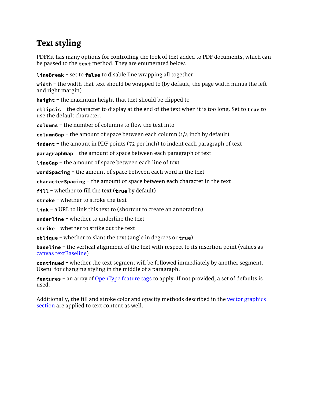### **[Text styling](false)**

[PDFKit has many options for controlling the look of text added to PDF documents, which can](false)  [be passed to the](false) **[text](false)** [method. They are enumerated below.](false)

**[lineBreak](false)** [- set to](false) **<false>** [to disable line wrapping all together](false)

**[width](false)** [- the width that text should be wrapped to \(by default, the page width minus the left](false)  [and right margin\)](false)

[height](false) [- the maximum height that text should be clipped to](false)

**[ellipsis](false)** [- the character to display at the end of the text when it is too long. Set to](false) **[true](false)** [to](false)  [use the default character.](false)

**[columns](false)** [- the number of columns to flow the text into](false)

**[columnGap](false)** [- the amount of space between each column \(1/4 inch by default\)](false)

**[indent](false)** [- the amount in PDF points \(72 per inch\) to indent each paragraph of text](false)

**[paragraphGap](false)** [- the amount of space between each paragraph of text](false)

**[lineGap](false)** [- the amount of space between each line of text](false)

**[wordSpacing](false)** [- the amount of space between each word in the text](false)

**[characterSpacing](false)** [- the amount of space between each character in the text](false)

**[fill](false)** [- whether to fill the text \(](false)**[true](false)** [by default\)](false)

**[stroke](false)** [- whether to stroke the text](false)

**[link](false)** [- a URL to link this text to \(shortcut to create an annotation\)](false)

**[underline](false)** [- whether to underline the text](false)

**[strike](false)** [- whether to strike out the text](false)

**[oblique](false)** [- whether to slant the text \(angle in degrees or](false) **[true](false)**[\)](false)

**[baseline](false)** - the vertical alignment of the text with respect to its insertion point (values as [canvas textBaseline](https://www.w3schools.com/tags/canvas_textbaseline.asp)[\)](false)

**[continued](false)** [- whether the text segment will be followed immediately by another segment.](false)  [Useful for changing styling in the middle of a paragraph.](false)

**[features](false)** [- an array of](false) [OpenType feature tags](https://www.microsoft.com/typography/otspec/featuretags.htm) [to apply. If not provided, a set of defaults is](false)  [used.](false)

[Additionally, the fill and stroke color and opacity methods described in the](false) [vector graphics](vector.html)  [section](vector.html) [are applied to text content as well.](false)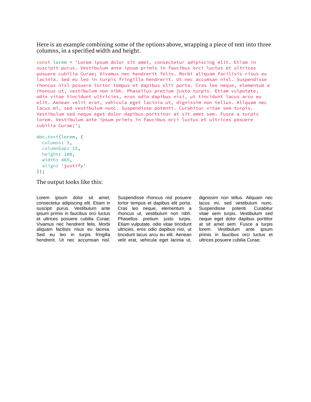[Here is an example combining some of the options above, wrapping a piece of text into three](false)  [columns, in a specified width and height.](false)

[const](false) [lorem](false) [=](false) ['Lorem ipsum dolor sit amet, consectetur adipiscing elit. Etiam in](false)  [suscipit purus. Vestibulum ante ipsum primis in faucibus orci luctus et ultrices](false)  [posuere cubilia Curae; Vivamus nec hendrerit felis. Morbi aliquam facilisis risus eu](false)  [lacinia. Sed eu leo in turpis fringilla hendrerit. Ut nec accumsan nisl. Suspendisse](false)  [rhoncus nisl posuere tortor tempus et dapibus elit porta. Cras leo neque, elementum a](false)  [rhoncus ut, vestibulum non nibh. Phasellus pretium justo turpis. Etiam vulputate,](false)  [odio vitae tincidunt ultricies, eros odio dapibus nisi, ut tincidunt lacus arcu eu](false)  [elit. Aenean velit erat, vehicula eget lacinia ut, dignissim non tellus. Aliquam nec](false)  [lacus mi, sed vestibulum nunc. Suspendisse potenti. Curabitur vitae sem turpis.](false)  [Vestibulum sed neque eget dolor dapibus porttitor at sit amet sem. Fusce a turpis](false)  [lorem. Vestibulum ante ipsum primis in faucibus orci luctus et ultrices posuere](false)  [cubilia Curae;';](false) 

```
doc.text(lorem, {
   columns: 3,
   columnGap: 15,
   height: 100,
  width: 465,
   align: 'justify'
});
```
[The output looks like this:](false)

Lorem ipsum dolor sit amet, consectetur adipiscing elit. Etiam in suscipit purus. Vestibulum ante ipsum primis in faucibus orci luctus et ultrices posuere cubilia Curae; Vivamus nec hendrerit felis. Morbi aliquam facilisis risus eu lacinia. Sed eu leo in turpis fringilla hendrerit. Ut nec accumsan nisl. Suspendisse rhoncus nisl posuere tortor tempus et dapibus elit porta. Cras leo neque, elementum a rhoncus ut, vestibulum non nibh. Phasellus pretium justo turpis. Etiam vulputate, odio vitae tincidunt ultricies, eros odio dapibus nisi, ut tincidunt lacus arcu eu elit. Aenean velit erat, vehicula eget lacinia ut,

dignissim non tellus. Aliquam nec lacus mi, sed vestibulum nunc. Suspendisse potenti. Curabitur vitae sem turpis. Vestibulum sed neque eget dolor dapibus porttitor at sit amet sem. Fusce a turpis lorem. Vestibulum ante ipsum primis in faucibus orci luctus et ultrices posuere cubilia Curae;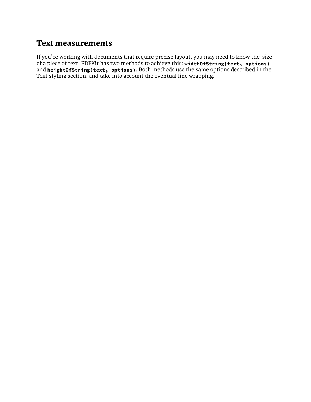#### **[Text measurements](false)**

If you['re working with documents that require precise layout, you may need to know the size](false)  [of a piece of text. PDFKit has two methods to achieve this:](false) **[widthOfString\(text, options\)](false)** [and](false) **[heightOfString\(text, options\)](false)**[. Both methods use the same options described in the](false)  [Text styling section, and take into account the eventual line wrapping.](false)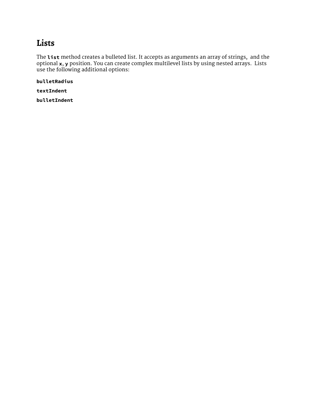#### **[Lists](false)**

[The](false) **[list](false)** [method creates a bulleted list. It accepts as arguments an array of strings, and the](false)  [optional](false) **[x](false)**[,](false) **[y](false)** [position. You can create complex multilevel lists by using nested arrays. Lists](false)  [use the following additional options:](false) 

**[bulletRadius](false)**

**[textIndent](false)**

**[bulletIndent](false)**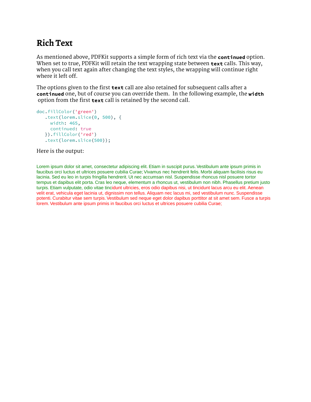### **[Rich Text](false)**

[As mentioned above, PDFKit supports a simple form of rich text via the](false) **[continued](false)** [option.](false)  [When set to true, PDFKit will retain the text wrapping state between](false) **[text](false)** [calls. This way,](false)  [when you call text again after changing the text styles, the wrapping will continue right](false)  [where it left off.](false)

[The options given to the first](false) **[text](false)** [call are also retained for subsequent calls after a](false)  **[continued](false)** [one, but of course you can override them. In the following example, the](false) **[width](false)**  [option from the first](false) **[text](false)** [call is retained by the second call.](false)

```
doc.fillColor('green')
    .text(lorem.slice(0, 500), {
      width: 465,
      continued: true
    }).fillColor('red')
    .text(lorem.slice(500));
```
[Here is the output:](false)

Lorem ipsum dolor sit amet, consectetur adipiscing elit. Etiam in suscipit purus. Vestibulum ante ipsum primis in faucibus orci luctus et ultrices posuere cubilia Curae; Vivamus nec hendrerit felis. Morbi aliquam facilisis risus eu lacinia. Sed eu leo in turpis fringilla hendrerit. Ut nec accumsan nisl. Suspendisse rhoncus nisl posuere tortor tempus et dapibus elit porta. Cras leo neque, elementum a rhoncus ut, vestibulum non nibh. Phasellus pretium justo turpis. Etiam vulputate, odio vitae tincidunt ultricies, eros odio dapibus nisi, ut tincidunt lacus arcu eu elit. Aenean velit erat, vehicula eget lacinia ut, dignissim non tellus. Aliquam nec lacus mi, sed vestibulum nunc. Suspendisse potenti. Curabitur vitae sem turpis. Vestibulum sed neque eget dolor dapibus porttitor at sit amet sem. Fusce a turpis lorem. Vestibulum ante ipsum primis in faucibus orci luctus et ultrices posuere cubilia Curae;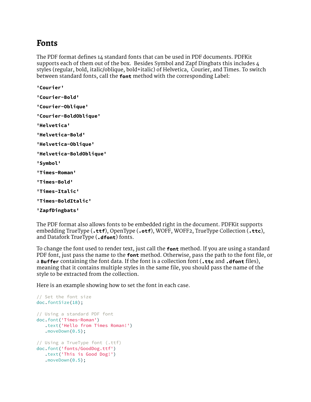#### **[Fonts](false)**

[The PDF format defines 14 standard fonts that can be used in PDF documents. PDFKit](false)  [supports each of them out of the box. Besides Symbol and Zapf Dingbats this includes 4](false)  [styles \(regular, bold, italic/oblique, bold+italic\) of Helvetica, Courier, and Times. To switch](false)  [between standard fonts, call the](false) **[font](false)** [method with the corresponding Label:](false)

```
'Courier'
'Courier-Bold'
'Courier-Oblique'
'Courier-BoldOblique'
'Helvetica'
'Helvetica-Bold'
'Helvetica-Oblique'
'Helvetica-BoldOblique'
'Symbol'
'Times-Roman'
'Times-Bold'
'Times-Italic'
'Times-BoldItalic'
'ZapfDingbats'
```

```
The PDF format also allows fonts to be embedded right in the document. PDFKit supports 
embedding TrueType (.ttf), OpenType (.otf), WOFF, WOFF2, TrueType Collection (.ttc), 
and Datafork TrueType (.dfont) fonts.
```
[To change the font used to render text, just call the](false) **[font](false)** [method. If you are using a standard](false)  [PDF font, just pass the name to the](false) **[font](false)** [method. Otherwise, pass the path to the font file, or](false)  [a](false) **[Buffer](false)** [containing the font data. If the font is a collection font \(](false)**[.ttc](false)** [and](false) **[.dfont](false)** [files\),](false)  [meaning that it contains multiple styles in the same file, you should pass the name of the](false)  [style to be extracted from the collection.](false)

[Here is an example showing how to set the font in each case.](false)

```
// Set the font size
doc.fontSize(18);
// Using a standard PDF font
doc.font('Times-Roman')
    .text('Hello from Times Roman!')
    .moveDown(0.5);
// Using a TrueType font (.ttf) 
doc.font('fonts/GoodDog.ttf')
    .text('This is Good Dog!')
    .moveDown(0.5);
```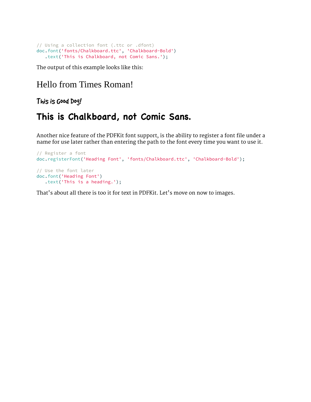```
// Using a collection font (.ttc or .dfont) 
doc.font('fonts/Chalkboard.ttc', 'Chalkboard-Bold')
    .text('This is Chalkboard, not Comic Sans.');
```
[The output of this example looks like this:](false)

#### Hello from Times Roman!

This is Good Dog!

### **This is Chalkboard, not Comic Sans.**

[Another nice feature of the PDFKit font support, is the ability to register a font file under a](false)  [name for use later rather than entering the path to the font every time you want to use it.](false)

```
// Register a font
doc.registerFont('Heading Font', 'fonts/Chalkboard.ttc', 'Chalkboard-Bold');
// Use the font later
doc.font('Heading Font')
    .text('This is a heading.');
```
That['s about all there is too it for text in PDFKit. Let's move on now to images.](false)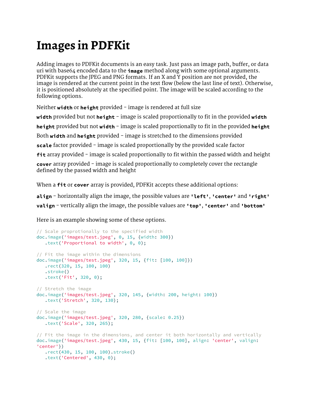## **[Images in PDFKit](false)**

[Adding images to PDFKit documents is an easy task. Just pass an image path, buffer, or data](false)  [uri with base64 encoded data to the](false) **[image](false)** [method along with some optional arguments.](false)  [PDFKit supports the JPEG and PNG formats. If an X and Y position are not provided, the](false)  [image is rendered at the current point in the text flow \(below the last line of text\). Otherwise,](false)  [it is positioned absolutely at the specified point. The image will be scaled according to the](false)  [following options.](false)

[Neither](false) [width](false) [or](false) [height](false) [provided - image is rendered at full size](false) **[width](false)** [provided but not](false) **[height](false)** [- image is scaled proportionally to fit in the provided](false) **[width](false) [height](false)** [provided but not](false) **[width](false)** [- image is scaled proportionally to fit in the provided](false) **[height](false)** [Both](false) **[width](false)** [and](false) **[height](false)** [provided - image is stretched to the dimensions provided](false) **[scale](false)** [factor provided - image is scaled proportionally by the provided scale factor](false) **[fit](false)** [array provided - image is scaled proportionally to fit within the passed width and height](false) **[cover](false)** [array provided - image is scaled proportionally to completely cover the rectangle](false)  [defined by the passed width and height](false)

[When a](false) **[fit](false)** [or](false) **[cover](false)** [array is provided, PDFKit accepts these additional options:](false)

**[align](false)** [- horizontally align the image, the possible values are](false) **['left'](false)**[,](false) **['center'](false)** [and](false) **['right'](false) [valign](false)** [- vertically align the image, the possible values are](false) **['top'](false)**[,](false) **['center'](false)** [and](false) **['bottom'](false)**

[Here is an example showing some of these options.](false)

```
// Scale proprotionally to the specified width
doc.image('images/test.jpeg', 0, 15, {width: 300})
    .text('Proportional to width', 0, 0);
// Fit the image within the dimensions
doc.image('images/test.jpeg', 320, 15, {fit: [100, 100]})
   .rect(320, 15, 100, 100)
   .stroke()
   .text('Fit', 320, 0);
// Stretch the image
doc.image('images/test.jpeg', 320, 145, {width: 200, height: 100})
    .text('Stretch', 320, 130);
// Scale the image
doc.image('images/test.jpeg', 320, 280, {scale: 0.25})
    .text('Scale', 320, 265);
// Fit the image in the dimensions, and center it both horizontally and vertically
doc.image('images/test.jpeg', 430, 15, {fit: [100, 100], align: 'center', valign:
'center'})
    .rect(430, 15, 100, 100).stroke()
    .text('Centered', 430, 0);
```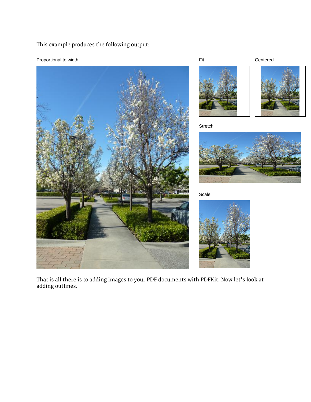[This example produces the following output:](false)













Scale



[That is all there is to adding images to your PDF documents with PDFKit. Now let](false)'s look at [adding outlines.](false)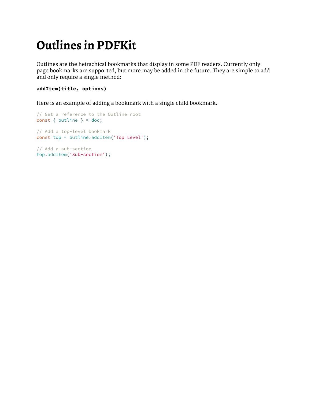## **[Outlines in PDFKit](false)**

[Outlines are the heirachical bookmarks that display in some PDF readers. Currently only](false)  [page bookmarks are supported, but more may be added in the future. They are simple to add](false)  [and only require a single method:](false)

#### **[addItem\(title, options\)](false)**

[Here is an example of adding a bookmark with a single child bookmark.](false)

[// Get a reference to the Outline root](false) [const](false) [{](false) [outline](false) [}](false) [=](false) [doc;](false) [// Add a top-level bookmark](false) [const](false) [top](false) [=](false) [outline.addItem\('Top Level'\);](false) [// Add a sub-section](false)

[top.addItem\('Sub-section'\);](false)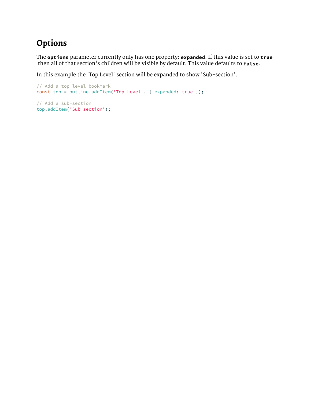### **[Options](false)**

[The](false) **[options](false)** [parameter currently only has one property:](false) **[expanded](false)**[. If this value is set to](false) **[true](false)** then all of that section['s children will be visible by default. This value defaults to](false) **<false>**[.](false) 

In this example the ['Top Level' section will be expanded to show 'Sub-section'.](false)

```
// Add a top-level bookmark
const top = outline.addItem('Top Level', { expanded: true });
```
[// Add a sub-section](false) [top.addItem\('Sub-section'\);](false)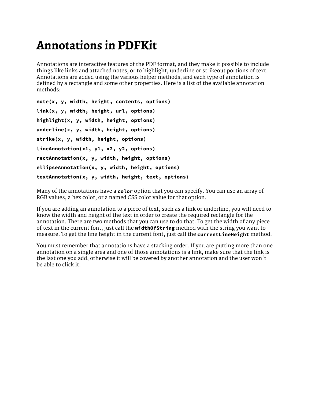### **[Annotations in PDFKit](false)**

[Annotations are interactive features of the PDF format, and they make it possible to include](false)  [things like links and attached notes, or to highlight, underline or strikeout portions of text.](false)  [Annotations are added using the various helper methods, and each type of annotation is](false)  [defined by a rectangle and some other properties. Here is a list of the available annotation](false)  [methods:](false)

```
note(x, y, width, height, contents, options)
link(x, y, width, height, url, options)
highlight(x, y, width, height, options)
underline(x, y, width, height, options)
strike(x, y, width, height, options)
lineAnnotation(x1, y1, x2, y2, options)
rectAnnotation(x, y, width, height, options)
ellipseAnnotation(x, y, width, height, options)
textAnnotation(x, y, width, height, text, options)
```
[Many of the annotations have a](false) **[color](false)** [option that you can specify. You can use an array of](false)  [RGB values, a hex color, or a named CSS color value for that option.](false)

[If you are adding an annotation to a piece of text, such as a link or underline, you will need to](false)  [know the width and height of the text in order to create the required rectangle for the](false)  [annotation. There are two methods that you can use to do that. To get the width of any piece](false)  [of text in the current font, just call the](false) **[widthOfString](false)** [method with the string you want to](false)  [measure. To get the line height in the current font, just call the](false) **[currentLineHeight](false)** [method.](false)

[You must remember that annotations have a stacking order. If you are putting more than one](false)  [annotation on a single area and one of those annotations is a link, make sure that the link is](false)  [the last one you add, otherwise it will be covered by another annotation and the user won](false)'t [be able to click it.](false)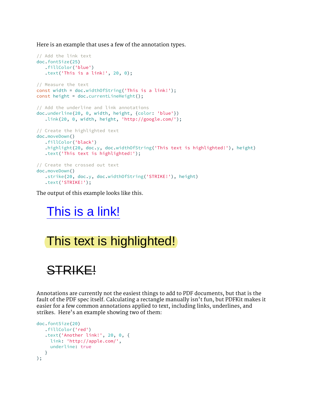[Here is an example that uses a few of the annotation types.](false)

```
// Add the link text
doc.fontSize(25)
    .fillColor('blue')
    .text('This is a link!', 20, 0);
// Measure the text
const width = doc.widthOfString('This is a link!');
const height = doc.currentLineHeight();
// Add the underline and link annotations
doc.underline(20, 0, width, height, {color: 'blue'})
    .link(20, 0, width, height, 'http://google.com/');
// Create the highlighted text
doc.moveDown()
    .fillColor('black')
    .highlight(20, doc.y, doc.widthOfString('This text is highlighted!'), height)
    .text('This text is highlighted!');
// Create the crossed out text
doc.moveDown()
   .strike(20, doc.y, doc.widthOfString('STRIKE!'), height)
    .text('STRIKE!');
```
[The output of this example looks like this.](false)

### [This is a link!](http://google.com/)

### This text is highlighted!

# STRIKE!

[Annotations are currently not the easiest things to add to PDF documents, but that is the](false)  [fault of the PDF spec itself. Calculating a rectangle manually isn](false)'t fun, but PDFKit makes it [easier for a few common annotations applied to text, including links, underlines, and](false)  strikes. Here['s an example showing two of them:](false)

```
doc.fontSize(20)
    .fillColor('red')
    .text('Another link!', 20, 0, {
     link: 'http://apple.com/',
     underline: true
    }
);
```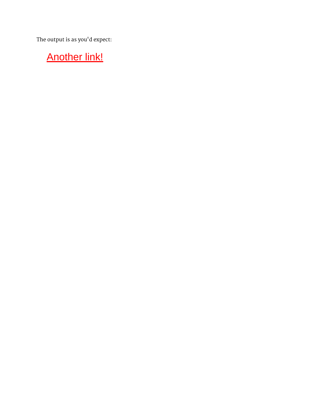[The output is as you](false)'d expect:

### **[Another link!](http://apple.com/)**